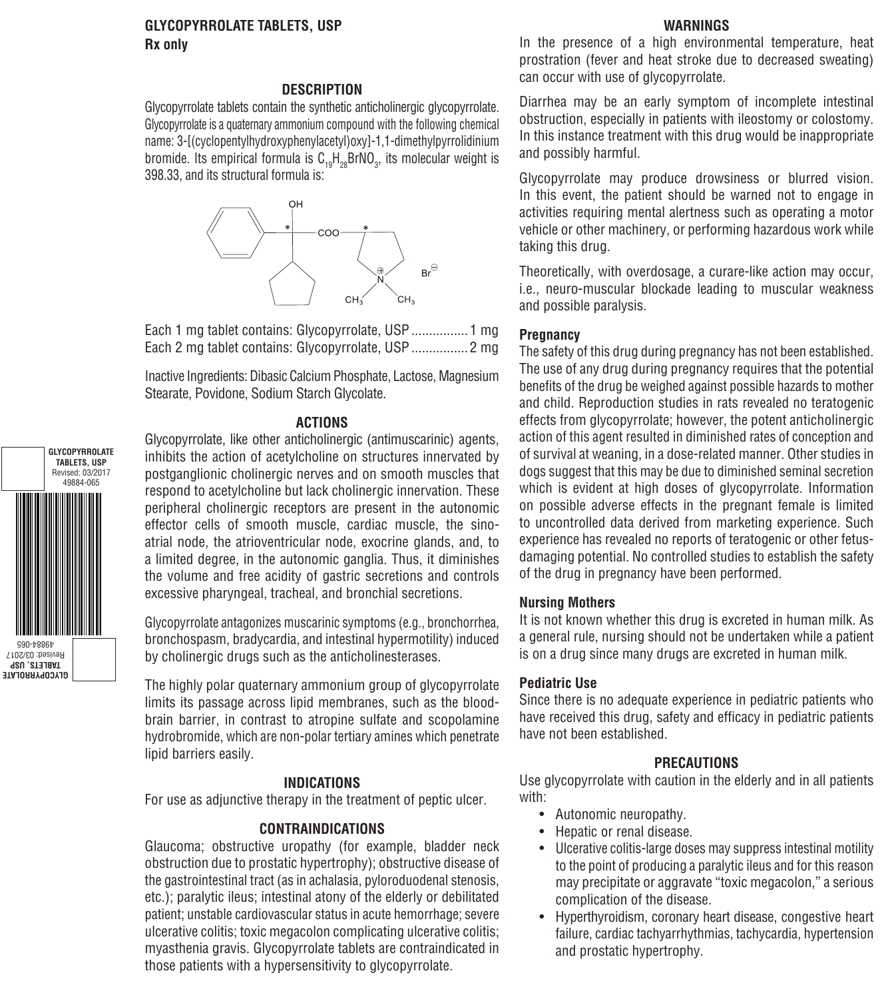# **GLYCOPYRROLATE TABLETS, USP**

## **WARNINGS**

**Rx only**

#### **DESCRIPTION**

Glycopyrrolate tablets contain the synthetic anticholinergic glycopyrrolate. Glycopyrrolate is a quaternary ammonium compound with the following chemical name: 3-[(cyclopentylhydroxyphenylacetyl)oxy]-1,1-dimethylpyrrolidinium bromide. Its empirical formula is  $C_{19}H_{28}$ BrNO<sub>3</sub>, its molecular weight is 398.33, and its structural formula is:



Each 1 mg tablet contains: Glycopyrrolate, USP ................1 mg Each 2 mg tablet contains: Glycopyrrolate, USP ................2 mg

Inactive Ingredients: Dibasic Calcium Phosphate, Lactose, Magnesium Stearate, Povidone, Sodium Starch Glycolate.

#### **ACTIONS**

Glycopyrrolate, like other anticholinergic (antimuscarinic) agents, inhibits the action of acetylcholine on structures innervated by postganglionic cholinergic nerves and on smooth muscles that respond to acetylcholine but lack cholinergic innervation. These peripheral cholinergic receptors are present in the autonomic effector cells of smooth muscle, cardiac muscle, the sinoatrial node, the atrioventricular node, exocrine glands, and, to a limited degree, in the autonomic ganglia. Thus, it diminishes the volume and free acidity of gastric secretions and controls excessive pharyngeal, tracheal, and bronchial secretions.

Glycopyrrolate antagonizes muscarinic symptoms (e.g., bronchorrhea, bronchospasm, bradycardia, and intestinal hypermotility) induced by cholinergic drugs such as the anticholinesterases.

The highly polar quaternary ammonium group of glycopyrrolate limits its passage across lipid membranes, such as the bloodbrain barrier, in contrast to atropine sulfate and scopolamine hydrobromide, which are non-polar tertiary amines which penetrate lipid barriers easily.

#### **INDICATIONS**

For use as adjunctive therapy in the treatment of peptic ulcer.

#### **CONTRAINDICATIONS**

Glaucoma; obstructive uropathy (for example, bladder neck obstruction due to prostatic hypertrophy); obstructive disease of the gastrointestinal tract (as in achalasia, pyloroduodenal stenosis, etc.); paralytic ileus; intestinal atony of the elderly or debilitated patient; unstable cardiovascular status in acute hemorrhage; severe ulcerative colitis; toxic megacolon complicating ulcerative colitis; myasthenia gravis. Glycopyrrolate tablets are contraindicated in those patients with a hypersensitivity to glycopyrrolate.

In the presence of a high environmental temperature, heat prostration (fever and heat stroke due to decreased sweating) can occur with use of glycopyrrolate.

Diarrhea may be an early symptom of incomplete intestinal obstruction, especially in patients with ileostomy or colostomy. In this instance treatment with this drug would be inappropriate and possibly harmful.

Glycopyrrolate may produce drowsiness or blurred vision. In this event, the patient should be warned not to engage in activities requiring mental alertness such as operating a motor vehicle or other machinery, or performing hazardous work while taking this drug.

Theoretically, with overdosage, a curare-like action may occur, i.e., neuro-muscular blockade leading to muscular weakness and possible paralysis.

#### **Pregnancy**

The safety of this drug during pregnancy has not been established. The use of any drug during pregnancy requires that the potential benefits of the drug be weighed against possible hazards to mother and child. Reproduction studies in rats revealed no teratogenic effects from glycopyrrolate; however, the potent anticholinergic action of this agent resulted in diminished rates of conception and of survival at weaning, in a dose-related manner. Other studies in dogs suggest that this may be due to diminished seminal secretion which is evident at high doses of glycopyrrolate. Information on possible adverse effects in the pregnant female is limited to uncontrolled data derived from marketing experience. Such experience has revealed no reports of teratogenic or other fetusdamaging potential. No controlled studies to establish the safety of the drug in pregnancy have been performed.

#### **Nursing Mothers**

It is not known whether this drug is excreted in human milk. As a general rule, nursing should not be undertaken while a patient is on a drug since many drugs are excreted in human milk.

#### **Pediatric Use**

Since there is no adequate experience in pediatric patients who have received this drug, safety and efficacy in pediatric patients have not been established.

#### **PRECAUTIONS**

Use glycopyrrolate with caution in the elderly and in all patients with:

- Autonomic neuropathy.
- Hepatic or renal disease.
- Ulcerative colitis-large doses may suppress intestinal motility to the point of producing a paralytic ileus and for this reason may precipitate or aggravate "toxic megacolon," a serious complication of the disease.
- Hyperthyroidism, coronary heart disease, congestive heart failure, cardiac tachyarrhythmias, tachycardia, hypertension and prostatic hypertrophy.